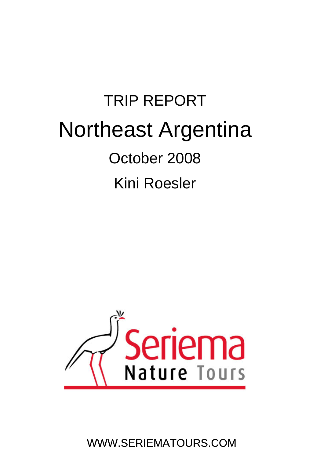# TRIP REPORT Northeast Argentina October 2008 Kini Roesler



WWW.SERIEMATOURS.COM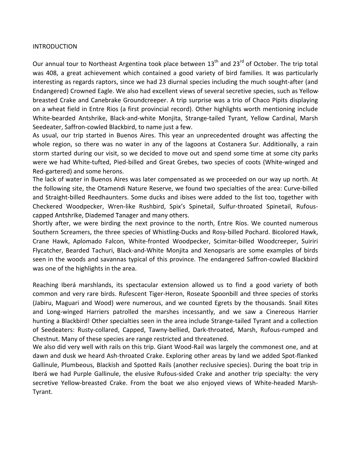#### INTRODUCTION

Our annual tour to Northeast Argentina took place between  $13<sup>th</sup>$  and  $23<sup>rd</sup>$  of October. The trip total was 408, a great achievement which contained a good variety of bird families. It was particularly interesting as regards raptors, since we had 23 diurnal species including the much sought‐after (and Endangered) Crowned Eagle. We also had excellent views of several secretive species, such as Yellow‐ breasted Crake and Canebrake Groundcreeper. A trip surprise was a trio of Chaco Pipits displaying on a wheat field in Entre Rios (a first provincial record). Other highlights worth mentioning include White‐bearded Antshrike, Black‐and‐white Monjita, Strange‐tailed Tyrant, Yellow Cardinal, Marsh Seedeater, Saffron‐cowled Blackbird, to name just a few.

As usual, our trip started in Buenos Aires. This year an unprecedented drought was affecting the whole region, so there was no water in any of the lagoons at Costanera Sur. Additionally, a rain storm started during our visit, so we decided to move out and spend some time at some city parks were we had White-tufted, Pied-billed and Great Grebes, two species of coots (White-winged and Red‐gartered) and some herons.

capped Antshrike, Diademed Tanager and many others. The lack of water in Buenos Aires was later compensated as we proceeded on our way up north. At the following site, the Otamendi Nature Reserve, we found two specialties of the area: Curve‐billed and Straight-billed Reedhaunters. Some ducks and ibises were added to the list too, together with Checkered Woodpecker, Wren‐like Rushbird, Spix's Spinetail, Sulfur‐throated Spinetail, Rufous‐

Shortly after, we were birding the next province to the north, Entre Ríos. We counted numerous Southern Screamers, the three species of Whistling‐Ducks and Rosy‐billed Pochard. Bicolored Hawk, Crane Hawk, Aplomado Falcon, White‐fronted Woodpecker, Scimitar‐billed Woodcreeper, Suiriri Flycatcher, Bearded Tachuri, Black‐and‐White Monjita and Xenopsaris are some examples of birds seen in the woods and savannas typical of this province. The endangered Saffron‐cowled Blackbird was one of the highlights in the area.

Reaching Iberá marshlands, its spectacular extension allowed us to find a good variety of both common and very rare birds. Rufescent Tiger‐Heron, Roseate Spoonbill and three species of storks (Jabiru, Maguari and Wood) were numerous, and we counted Egrets by the thousands. Snail Kites and Long‐winged Harriers patrolled the marshes incessantly, and we saw a Cinereous Harrier hunting a Blackbird! Other specialties seen in the area include Strange‐tailed Tyrant and a collection of Seedeaters: Rusty‐collared, Capped, Tawny‐bellied, Dark‐throated, Marsh, Rufous‐rumped and Chestnut. Many of these species are range restricted and threatened.

We also did very well with rails on this trip. Giant Wood-Rail was largely the commonest one, and at dawn and dusk we heard Ash-throated Crake. Exploring other areas by land we added Spot-flanked Gallinule, Plumbeous, Blackish and Spotted Rails (another reclusive species). During the boat trip in Iberá we had Purple Gallinule, the elusive Rufous‐sided Crake and another trip specialty: the very secretive Yellow-breasted Crake. From the boat we also enjoyed views of White-headed Marsh-Tyrant.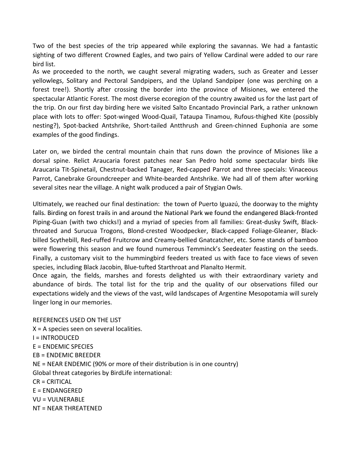Two of the best species of the trip appeared while exploring the savannas. We had a fantastic sighting of two different Crowned Eagles, and two pairs of Yellow Cardinal were added to our rare bird list.

As we proceeded to the north, we caught several migrating waders, such as Greater and Lesser yellowlegs, Solitary and Pectoral Sandpipers, and the Upland Sandpiper (one was perching on a forest tree!). Shortly after crossing the border into the province of Misiones, we entered the spectacular Atlantic Forest. The most diverse ecoregion of the country awaited us for the last part of the trip. On our first day birding here we visited Salto Encantado Provincial Park, a rather unknown place with lots to offer: Spot‐winged Wood‐Quail, Tataupa Tinamou, Rufous‐thighed Kite (possibly nesting?), Spot‐backed Antshrike, Short‐tailed Antthrush and Green‐chinned Euphonia are some examples of the good findings.

Later on, we birded the central mountain chain that runs down the province of Misiones like a dorsal spine. Relict Araucaria forest patches near San Pedro hold some spectacular birds like Araucaria Tit‐Spinetail, Chestnut‐backed Tanager, Red‐capped Parrot and three specials: Vinaceous Parrot, Canebrake Groundcreeper and White‐bearded Antshrike. We had all of them after working several sites near the village. A night walk produced a pair of Stygian Owls.

falls. Birding on forest trails in and around the National Park we found the endangered Black-fronted Ultimately, we reached our final destination: the town of Puerto Iguazú, the doorway to the mighty Piping‐Guan (with two chicks!) and a myriad of species from all families: Great‐dusky Swift, Black‐ throated and Surucua Trogons, Blond‐crested Woodpecker, Black‐capped Foliage‐Gleaner, Black‐ billed Scythebill, Red‐ruffed Fruitcrow and Creamy‐bellied Gnatcatcher, etc. Some stands of bamboo were flowering this season and we found numerous Temminck's Seedeater feasting on the seeds. Finally, a customary visit to the hummingbird feeders treated us with face to face views of seven species, including Black Jacobin, Blue‐tufted Starthroat and Planalto Hermit.

linger long in our memories. Once again, the fields, marshes and forests delighted us with their extraordinary variety and abundance of birds. The total list for the trip and the quality of our observations filled our expectations widely and the views of the vast, wild landscapes of Argentine Mesopotamia will surely

NT = NEAR THREATENED REFERENCES USED ON THE LIST X = A species seen on several localities. I = INTRODUCED E = ENDEMIC SPECIES EB = ENDEMIC BREEDER NE = NEAR ENDEMIC (90% or more of their distribution is in one country) Global threat categories by BirdLife international: CR = CRITICAL E = ENDANGERED VU = VULNERABLE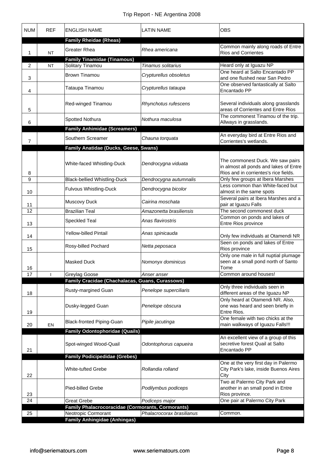| <b>NUM</b> | <b>REF</b> | <b>ENGLISH NAME</b>                                        | <b>LATIN NAME</b>         | <b>OBS</b>                                                                                                          |
|------------|------------|------------------------------------------------------------|---------------------------|---------------------------------------------------------------------------------------------------------------------|
|            |            | <b>Family Rheidae (Rheas)</b>                              |                           |                                                                                                                     |
| 1          | <b>NT</b>  | <b>Greater Rhea</b>                                        | Rhea americana            | Common mainly along roads of Entre<br><b>Rios and Corrientes</b>                                                    |
| 2          | <b>NT</b>  | <b>Family Tinamidae (Tinamous)</b><br>Solitary Tinamou     | Tinamus solitarius        | Heard only at Iguazu NP                                                                                             |
|            |            |                                                            |                           | One heard at Salto Encantado PP                                                                                     |
| 3          |            | <b>Brown Tinamou</b>                                       | Crypturellus obsoletus    | and one flushed near San Pedro                                                                                      |
| 4          |            | Tataupa Tinamou                                            | Crypturellus tataupa      | One observed fantastically at Salto<br>Encantado PP                                                                 |
| 5          |            | Red-winged Tinamou                                         | Rhynchotus rufescens      | Several individuals along grasslands<br>areas of Corrientes and Entre Rios                                          |
| 6          |            | Spotted Nothura                                            | Nothura maculosa          | The commonest Tinamou of the trip.<br>Allways in grasslands.                                                        |
|            |            | <b>Family Anhimidae (Screamers)</b>                        |                           | An everyday bird at Entre Rios and                                                                                  |
| 7          |            | Southern Screamer                                          | Chauna torquata           | Corrientes's wetlands.                                                                                              |
|            |            | Family Anatidae (Ducks, Geese, Swans)                      |                           |                                                                                                                     |
| 8          |            | White-faced Whistling-Duck                                 | Dendrocygna viduata       | The commonest Duck. We saw pairs<br>in almost all ponds and lakes of Entre<br>Rios and in corrientes's rice fields. |
| 9          |            | <b>Black-bellied Whistling-Duck</b>                        | Dendrocygna autumnalis    | Only few groups at Ibera Marshes                                                                                    |
| 10         |            | Fulvous Whistling-Duck                                     | Dendrocygna bicolor       | Less common than White-faced but<br>almost in the same spots                                                        |
| 11         |            | Muscovy Duck                                               | Cairina moschata          | Several pairs at Ibera Marshes and a<br>pair at Iguazu Falls                                                        |
| 12         |            | <b>Brazilian Teal</b>                                      | Amazonetta brasiliensis   | The second commonest duck                                                                                           |
| 13         |            | Speckled Teal                                              | Anas flavirostris         | Common on ponds and lakes of<br>Entre Rios province                                                                 |
| 14         |            | <b>Yellow-billed Pintail</b>                               | Anas spinicauda           | Only few individuals at Otamendi NR                                                                                 |
| 15         |            | Rosy-billed Pochard                                        | Netta peposaca            | Seen on ponds and lakes of Entre<br>Rios province                                                                   |
| 16         |            | <b>Masked Duck</b>                                         | Nomonyx dominicus         | Only one male in full nuptial plumage<br>seen at a small pond north of Santo<br>I ome                               |
| 17         |            | Greylag Goose                                              | Anser anser               | Common around houses!                                                                                               |
|            |            | Family Cracidae (Chachalacas, Guans, Curassows)            |                           | Only three individuals seen in                                                                                      |
| 18         |            | Rusty-margined Guan                                        | Penelope superciliaris    | different areas of the Iguazu NP<br>Only heard at Otamendi NR. Also,                                                |
| 19         |            | Dusky-legged Guan                                          | Penelope obscura          | one was heard and seen briefly in<br>Entre Rios.                                                                    |
| 20         | EN         | Black-fronted Piping-Guan                                  | Pipile jacutinga          | One female with two chicks at the<br>main walkways of Iguazu Falls!!!                                               |
|            |            | <b>Family Odontophoridae (Quails)</b>                      |                           |                                                                                                                     |
| 21         |            | Spot-winged Wood-Quail                                     | Odontophorus capueira     | An excellent view of a group of this<br>secretive forest Quail at Salto<br>Encantado PP                             |
|            |            | <b>Family Podicipedidae (Grebes)</b>                       |                           |                                                                                                                     |
| 22         |            | White-tufted Grebe                                         | Rollandia rolland         | One at the very first day in Palermo<br>City Park's lake, inside Buenos Aires<br>City                               |
| 23         |            | <b>Pied-billed Grebe</b>                                   | Podilymbus podiceps       | Two at Palermo City Park and<br>another in an small pond in Entre<br>Rios province.                                 |
| 24         |            | <b>Great Grebe</b>                                         | Podiceps major            | One pair at Palermo City Park                                                                                       |
|            |            | Family Phalacrocoracidae (Cormorants, Cormorants)          |                           |                                                                                                                     |
| 25         |            | Neotropic Cormorant<br><b>Family Anhingidae (Anhingas)</b> | Phalacrocorax brasilianus | Common.                                                                                                             |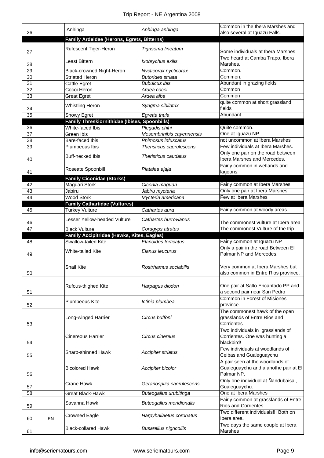| 26       |    | Anhinga                                                           | Anhinga anhinga                                           | Common in the Ibera Marshes and<br>also several at Iguazu Falls.                            |
|----------|----|-------------------------------------------------------------------|-----------------------------------------------------------|---------------------------------------------------------------------------------------------|
|          |    | Family Ardeidae (Herons, Egrets, Bitterns)                        |                                                           |                                                                                             |
| 27       |    | Rufescent Tiger-Heron                                             | Tigrisoma lineatum                                        | Some individuals at Ibera Marshes                                                           |
| 28       |    | Least Bittern                                                     | Ixobrychus exilis                                         | Two heard at Camba Trapo, Ibera<br>Marshes.                                                 |
| 29       |    | Black-crowned Night-Heron                                         | Nycticorax nycticorax                                     | Common.                                                                                     |
| 30       |    | <b>Striated Heron</b>                                             | <b>Butorides striata</b>                                  | Common.                                                                                     |
| 31       |    | Cattle Egret                                                      | <b>Bubulcus ibis</b>                                      | Abundant in grazing fields                                                                  |
| 32       |    | Cocoi Heron                                                       | Ardea cocoi                                               | Common                                                                                      |
| 33       |    | <b>Great Egret</b>                                                | Ardea alba                                                | Common                                                                                      |
| 34       |    | <b>Whistling Heron</b>                                            | Syrigma sibilatrix                                        | quite common at short grassland<br>fields                                                   |
| 35       |    | Snowy Egret                                                       | Egretta thula                                             | Abundant.                                                                                   |
|          |    | Family Threskiornithidae (Ibises, Spoonbills)                     |                                                           |                                                                                             |
| 36       |    | White-faced Ibis                                                  | Plegadis chihi                                            | Quite common.                                                                               |
| 37       |    | Green Ibis                                                        | Mesembrinibis cayennensis                                 | One at Iguazu NP                                                                            |
| 38       |    | Bare-faced Ibis                                                   | Phimosus infuscatus                                       | not uncommon at Ibera Marshes                                                               |
| 39       |    | Plumbeous Ibis                                                    | Theristicus caerulescens                                  | Few individuals at Ibera Marshes.                                                           |
| 40       |    | <b>Buff-necked Ibis</b>                                           | Theristicus caudatus                                      | Only one pair on the road between<br>Ibera Marshes and Mercedes.                            |
|          |    | Roseate Spoonbill                                                 | Platalea ajaja                                            | Fairly common in wetlands and                                                               |
| 41       |    |                                                                   |                                                           | lagoons.                                                                                    |
|          |    | <b>Family Ciconidae (Storks)</b>                                  |                                                           |                                                                                             |
| 42       |    | Maguari Stork                                                     | Ciconia maguari                                           | Fairly common at Ibera Marshes                                                              |
| 43       |    | Jabiru                                                            | Jabiru mycteria                                           | Only one pair at Ibera Marshes                                                              |
| 44       |    | <b>Wood Stork</b>                                                 | Mycteria americana                                        | Few at Ibera Marshes                                                                        |
|          |    | <b>Family Cathartidae (Vultures)</b>                              |                                                           |                                                                                             |
| 45       |    | <b>Turkey Vulture</b>                                             | Cathartes aura                                            | Fairly common at woody areas                                                                |
| 46<br>47 |    | Lesser Yellow-headed Vulture<br><b>Black Vulture</b>              | Cathartes burrovianus<br>Coragyps atratus                 | The commonest vulture at Ibera area<br>The commonest Vulture of the trip                    |
|          |    |                                                                   |                                                           |                                                                                             |
|          |    |                                                                   |                                                           |                                                                                             |
| 48       |    | Family Accipitridae (Hawks, Kites, Eagles)<br>Swallow-tailed Kite |                                                           |                                                                                             |
| 49       |    | White-tailed Kite                                                 | Elanoides forficatus<br>Elanus leucurus                   | Fairly common at Iguazu NP<br>Only a pair in the road Between El<br>Palmar NP and Mercedes. |
| 50       |    | <b>Snail Kite</b>                                                 | Rostrhamus sociabilis                                     | Very common at Ibera Marshes but<br>also common in Entre Rios province.                     |
| 51       |    | Rufous-thighed Kite                                               | Harpagus diodon                                           | One pair at Salto Encantado PP and<br>a second pair near San Pedro                          |
| 52       |    | <b>Plumbeous Kite</b>                                             | Ictinia plumbea                                           | Common in Forest of Misiones<br>province.                                                   |
| 53       |    | Long-winged Harrier                                               | Circus buffoni                                            | The commonest hawk of the open<br>grasslands of Entre Rios and<br>Corrientes                |
| 54       |    | <b>Cinereous Harrier</b>                                          | Circus cinereus                                           | Two individuals in grasslands of<br>Corrientes. One was hunting a<br>blackbird!             |
| 55       |    | Sharp-shinned Hawk                                                | Accipiter striatus                                        | Few individuals at woodlands of<br>Ceibas and Gualeguaychu                                  |
| 56       |    | <b>Bicolored Hawk</b>                                             | Accipiter bicolor                                         | A pair seen at the woodlands of<br>Gualeguaychu and a anothe pair at El<br>Palmar NP.       |
| 57       |    | <b>Crane Hawk</b>                                                 | Geranospiza caerulescens                                  | Only one individual at Nandubaisal,<br>Gualeguaychu.                                        |
| 58       |    | Great Black-Hawk                                                  | Buteogallus urubitinga                                    | One at Ibera Marshes                                                                        |
|          |    |                                                                   |                                                           | Fairly common at grasslands of Entre                                                        |
| 59       |    | Savanna Hawk                                                      | <b>Buteogallus meridionalis</b>                           | <b>Rios and Corrientes</b>                                                                  |
| 60       | EN | <b>Crowned Eagle</b>                                              | Harpyhaliaetus coronatus<br><b>Busarellus nigricollis</b> | Two different individuals!!! Both on<br>Ibera area.<br>Two days the same couple at Ibera    |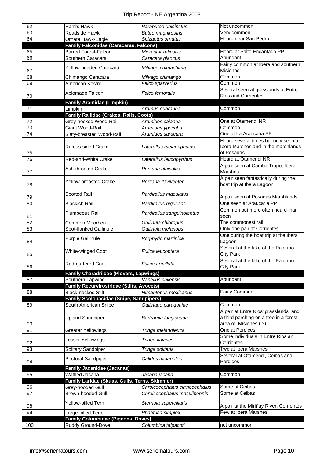| 62  | Harri's Hawk                                                         | Parabuteo unicinctus           | Not uncommon.                                          |
|-----|----------------------------------------------------------------------|--------------------------------|--------------------------------------------------------|
| 63  | Roadside Hawk                                                        | <b>Buteo magnirostris</b>      | Very common.                                           |
| 64  | Ornate Hawk-Eagle                                                    | Spizaetus ornatus              | Heard near San Pedro                                   |
|     | <b>Family Falconidae (Caracaras, Falcons)</b>                        |                                |                                                        |
| 65  | <b>Barred Forest-Falcon</b>                                          | Micrastur ruficollis           | Heard at Salto Encantado PP                            |
| 66  | Southern Caracara                                                    | Caracara plancus               | Abundant                                               |
|     |                                                                      |                                | Fairly common at Ibera and southern                    |
| 67  | Yellow-headed Caracara                                               | Milvago chimachima             | Misiones                                               |
| 68  | Chimango Caracara                                                    | Milvago chimango               | Common                                                 |
| 69  | American Kestrel                                                     | Falco sparverius               | Common                                                 |
|     | Aplomado Falcon                                                      | Falco femoralis                | Several seen at grasslands of Entre                    |
| 70  |                                                                      |                                | <b>Rios and Corrientes</b>                             |
|     | <b>Family Aramidae (Limpkin)</b>                                     |                                |                                                        |
| 71  | Limpkin                                                              | Aramus guarauna                | Common                                                 |
|     | Family Rallidae (Crakes, Rails, Coots)                               |                                |                                                        |
| 72  | Grey-necked Wood-Rail                                                | Aramides cajanea               | One at Otamendi NR                                     |
| 73  | Giant Wood-Rail                                                      | Aramides ypecaha               | Common                                                 |
| 74  | Slaty-breasted Wood-Rail                                             | Aramides saracura              | One at La Araucaria PP                                 |
|     |                                                                      |                                | Heard several times but only seen at                   |
|     | Rufous-sided Crake                                                   | Laterallus melanophaius        | Ibera Marshes and in the marshlands                    |
| 75  |                                                                      |                                | of Posadas                                             |
| 76  | Red-and-White Crake                                                  | Laterallus leucopyrrhus        | Heard at Otamendi NR                                   |
|     | <b>Ash-throated Crake</b>                                            | Porzana albicollis             | A pair seen at Camba Trapo, Ibera                      |
| 77  |                                                                      |                                | Marshes                                                |
|     | <b>Yellow-breasted Crake</b>                                         | Porzana flaviventer            | A pair seen fantastically during the                   |
| 78  |                                                                      |                                | boat trip at Ibera Lagoon                              |
|     | Spotted Rail                                                         | Pardirallus maculatus          |                                                        |
| 79  |                                                                      |                                | A pair seen at Posadas Marshlands                      |
| 80  | <b>Blackish Rail</b>                                                 | Pardirallus nigricans          | One seen at Araucaria PP                               |
|     | Plumbeous Rail                                                       | Pardirallus sanguinolentus     | Common but more often heard than                       |
| 81  |                                                                      |                                | seen                                                   |
| 82  | Common Moorhen                                                       | Gallinula chloropus            | The commonest rail                                     |
| 83  | Spot-flanked Gallinule                                               | Gallinula melanops             | Only one pair at Corrientes                            |
|     | <b>Purple Gallinule</b>                                              | Porphyrio martinica            | One during the boat trip at the Ibera                  |
| 84  |                                                                      |                                | Lagoon                                                 |
|     | White-winged Coot                                                    | Fulica leucoptera              | Several at the lake of the Palermo                     |
| 85  |                                                                      |                                | <b>City Park</b><br>Several at the lake of the Palermo |
|     | <b>Red-gartered Coot</b>                                             | Fulica armillata               |                                                        |
| 86  |                                                                      |                                | City Park                                              |
|     | Family Charadriidae (Plovers, Lapwings)                              | Vanellus chilensis             | Abundant                                               |
| 87  | Southern Lapwing<br><b>Family Recurvirostridae (Stilts, Avocets)</b> |                                |                                                        |
| 88  | <b>Black-necked Stilt</b>                                            | Himantopus mexicanus           | Fairly Common                                          |
|     | <b>Family Scolopacidae (Snipe, Sandpipers)</b>                       |                                |                                                        |
| 89  | South American Snipe                                                 | Gallinago paraguaiae           | Common                                                 |
|     |                                                                      |                                | A pair at Entre Rios' grasslands, and                  |
|     | <b>Upland Sandpiper</b>                                              | Bartramia longicauda           | a third perching on a tree in a forest                 |
| 90  |                                                                      |                                | area of Misiones (!?)                                  |
| 91  | <b>Greater Yellowlegs</b>                                            | Tringa melanoleuca             | One at Perdices                                        |
|     |                                                                      |                                | Some individuals in Entre Rios an                      |
| 92  | Lesser Yellowlegs                                                    | Tringa flavipes                | Corrientes                                             |
| 93  | Solitary Sandpiper                                                   | Tringa solitaria               | Two at Ibera Marshes                                   |
|     |                                                                      |                                | Several at Otamendi, Ceibas and                        |
| 94  | <b>Pectoral Sandpiper</b>                                            | Calidris melanotos             | Perdices                                               |
|     | <b>Family Jacanidae (Jacanas)</b>                                    |                                |                                                        |
| 95  | Wattled Jacana                                                       | Jacana jacana                  | Common                                                 |
|     | Family Laridae (Skuas, Gulls, Terns, Skimmer)                        |                                |                                                        |
| 96  | Grey-hooded Gull                                                     | Chroicocephalus cirrhocephalus | Some at Ceibas                                         |
| 97  | <b>Brown-hooded Gull</b>                                             | Chroicocephalus maculipennis   | Some at Ceibas                                         |
|     |                                                                      |                                |                                                        |
| 98  | Yellow-billed Tern                                                   | Sternula superciliaris         | A pair at the Miriñay River, Corrientes                |
| 99  | Large-billed Tern                                                    | Phaetusa simplex               | Few at Ibera Marshes                                   |
|     | <b>Family Columbidae (Pigeons, Doves)</b>                            |                                |                                                        |
| 100 | Ruddy Ground-Dove                                                    | Columbina talpacoti            | not uncommon                                           |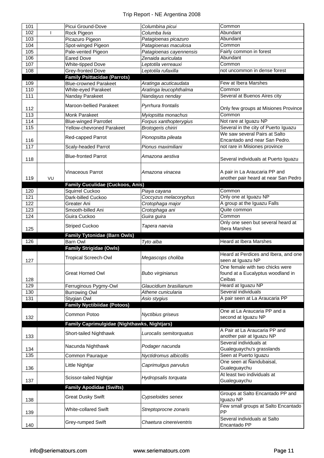| 101 |    | Picui Ground-Dove                            | Columbina picui         | Common                                       |
|-----|----|----------------------------------------------|-------------------------|----------------------------------------------|
| 102 |    |                                              | Columba livia           | Abundant                                     |
|     |    | Rock Pigeon                                  |                         |                                              |
| 103 |    | Picazuro Pigeon                              | Patagioenas picazuro    | Abundant                                     |
| 104 |    | Spot-winged Pigeon                           | Patagioenas maculosa    | Common                                       |
| 105 |    | Pale-vented Pigeon                           | Patagioenas cayennensis | Fairly common in forest                      |
| 106 |    | <b>Eared Dove</b>                            | Zenaida auriculata      | Abundant                                     |
| 107 |    | White-tipped Dove                            | Leptotila verreauxi     | Common                                       |
| 108 |    | Grey-fronted Dove                            | Leptotila rufaxilla     | not uncommon in dense forest                 |
|     |    | <b>Family Psittacidae (Parrots)</b>          |                         |                                              |
| 109 |    | <b>Blue-crowned Parakeet</b>                 | Aratinga acuticaudata   | Few at Ibera Marshes                         |
| 110 |    | White-eyed Parakeet                          | Aratinga leucophthalma  | Common                                       |
| 111 |    | Nanday Parakeet                              |                         | Several at Buenos Aires city                 |
|     |    |                                              | Nandayus nenday         |                                              |
|     |    | Maroon-bellied Parakeet                      | Pyrrhura frontalis      |                                              |
| 112 |    |                                              |                         | Only few groups at Misiones Province         |
| 113 |    | <b>Monk Parakeet</b>                         | Myiopsitta monachus     | Common                                       |
| 114 |    | <b>Blue-winged Parrotlet</b>                 | Forpus xanthopterygius  | Not rare at Iguazu NP                        |
| 115 |    | <b>Yellow-chevroned Parakeet</b>             | Brotogeris chiriri      | Several in the city of Puerto Iguazu         |
|     |    |                                              |                         | We saw several Pairs at Salto                |
| 116 |    | Red-capped Parrot                            | Pionopsitta pileata     | Encantado and near San Pedro.                |
| 117 |    |                                              | Pionus maximiliani      | not rare in Misiones province                |
|     |    | Scaly-headed Parrot                          |                         |                                              |
|     |    | <b>Blue-fronted Parrot</b>                   | Amazona aestiva         |                                              |
| 118 |    |                                              |                         | Several individuals at Puerto Iguazu         |
|     |    |                                              |                         |                                              |
|     |    | <b>Vinaceous Parrot</b>                      | Amazona vinacea         | A pair in La Araucaria PP and                |
| 119 | VU |                                              |                         | another pair heard at near San Pedro         |
|     |    | <b>Family Cuculidae (Cuckoos, Anis)</b>      |                         |                                              |
| 120 |    | Squirrel Cuckoo                              | Piaya cayana            | Common                                       |
| 121 |    | Dark-billed Cuckoo                           | Coccyzus melacoryphus   | Only one at Iguazu NP                        |
|     |    |                                              |                         |                                              |
| 122 |    | Greater Ani                                  | Crotophaga major        | A group at the Iguazu Falls                  |
| 123 |    | Smooth-billed Ani                            | Crotophaga ani          | Quite common                                 |
| 124 |    | Guira Cuckoo                                 | Guira guira             | Common                                       |
|     |    |                                              |                         | Only one seen but several heard at           |
|     |    |                                              |                         |                                              |
| 125 |    | <b>Striped Cuckoo</b>                        | Tapera naevia           | Ibera Marshes                                |
|     |    |                                              |                         |                                              |
|     |    | <b>Family Tytonidae (Barn Owls)</b>          |                         |                                              |
| 126 |    | Barn Owl                                     | Tyto alba               | <b>Heard at Ibera Marshes</b>                |
|     |    | <b>Family Strigidae (Owls)</b>               |                         |                                              |
|     |    | <b>Tropical Screech-Owl</b>                  | Megascops choliba       | Heard at Perdices and Ibera, and one         |
| 127 |    |                                              |                         | seen at Iguazu NP                            |
|     |    |                                              |                         | One female with two chicks were              |
|     |    | <b>Great Horned Owl</b>                      | <b>Bubo virginianus</b> | found at a Eucalyptus woodland in            |
| 128 |    |                                              |                         | Ceibas                                       |
| 129 |    | Ferruginous Pygmy-Owl                        | Glaucidium brasilianum  | Heard at Iguazu NP                           |
| 130 |    | <b>Burrowing Owl</b>                         | Athene cunicularia      | Several individuals                          |
| 131 |    |                                              |                         |                                              |
|     |    | Stygian Owl                                  | Asio stygius            | A pair seen at La Araucaria PP               |
|     |    | <b>Family Nyctibiidae (Potoos)</b>           |                         |                                              |
|     |    | Common Potoo                                 | Nyctibius griseus       | One at La Araucaria PP and a                 |
| 132 |    |                                              |                         | second at Iguazu NP                          |
|     |    | Family Caprimulgidae (Nighthawks, Nightjars) |                         |                                              |
|     |    |                                              |                         | A Pair at La Araucaria PP and                |
| 133 |    | Short-tailed Nighthawk                       | Lurocalis semitorquatus | another pair at Iguazu NP                    |
|     |    |                                              |                         | Several individuals at                       |
|     |    | Nacunda Nighthawk                            | Podager nacunda         |                                              |
| 134 |    |                                              |                         | Gualeguaychu's grasslands                    |
| 135 |    | Common Pauraque                              | Nyctidromus albicollis  | Seen at Puerto Iguazu                        |
|     |    | Little Nightjar                              | Caprimulgus parvulus    | One seen at Nandubaisal,                     |
| 136 |    |                                              |                         | Gualeguaychu                                 |
|     |    |                                              |                         | At least two individuals at                  |
| 137 |    | Scissor-tailed Nightjar                      | Hydropsalis torquata    | Gualeguaychu                                 |
|     |    | <b>Family Apodidae (Swifts)</b>              |                         |                                              |
|     |    |                                              |                         | Groups at Salto Encantado PP and             |
| 138 |    | <b>Great Dusky Swift</b>                     | Cypseloides senex       | Iguazu NP                                    |
|     |    |                                              |                         |                                              |
|     |    | White-collared Swift                         | Streptoprocne zonaris   | Few small groups at Salto Encantado<br>PP    |
| 139 |    |                                              |                         |                                              |
| 140 |    | Grey-rumped Swift                            | Chaetura cinereiventris | Several individuals at Salto<br>Encantado PP |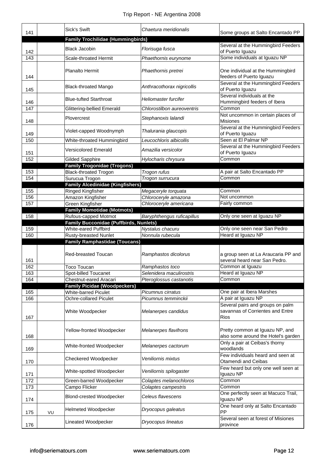| 141        |    | <b>Sick's Swift</b>                                            | Chaetura meridionalis            | Some groups at Salto Encantado PP                                             |
|------------|----|----------------------------------------------------------------|----------------------------------|-------------------------------------------------------------------------------|
|            |    | <b>Family Trochilidae (Hummingbirds)</b>                       |                                  |                                                                               |
| 142        |    | <b>Black Jacobin</b>                                           | Florisuga fusca                  | Several at the Hummingbird Feeders<br>of Puerto Iguazu                        |
| 143        |    | <b>Scale-throated Hermit</b>                                   | Phaethornis eurynome             | Some individuals at Iguazu NP                                                 |
| 144        |    | Planalto Hermit                                                | Phaethornis pretrei              | One individual at the Hummingbird<br>feeders of Puerto Iguazu                 |
| 145        |    | <b>Black-throated Mango</b>                                    | Anthracothorax nigricollis       | Several at the Hummingbird Feeders<br>of Puerto Iguazu                        |
| 146        |    | <b>Blue-tufted Starthroat</b>                                  | Heliomaster furcifer             | Several individuals at the<br>Hummingbird feeders of Ibera                    |
| 147        |    | <b>Glittering-bellied Emerald</b>                              | Chlorostilbon aureoventris       | Common                                                                        |
| 148        |    | Plovercrest                                                    | Stephanoxis lalandi              | Not uncommon in certain places of<br><b>Misiones</b>                          |
| 149        |    | Violet-capped Woodnymph                                        | Thalurania glaucopis             | Several at the Hummingbird Feeders<br>of Puerto Iguazu                        |
| 150        |    | White-throated Hummingbird                                     | Leucochloris albicollis          | Seen at El Palmar NP                                                          |
| 151        |    | <b>Versicolored Emerald</b>                                    | Amazilia versicolor              | Several at the Hummingbird Feeders<br>of Puerto Iguazu                        |
| 152        |    | Gilded Sapphire                                                | Hylocharis chrysura              | Common                                                                        |
|            |    | <b>Family Trogonidae (Trogons)</b>                             |                                  | A pair at Salto Encantado PP                                                  |
| 153<br>154 |    | <b>Black-throated Trogon</b><br>Surucua Trogon                 | Trogon rufus<br>Trogon surrucura | Common                                                                        |
|            |    | <b>Family Alcedinidae (Kingfishers)</b>                        |                                  |                                                                               |
| 155        |    | Ringed Kingfisher                                              | Megaceryle torquata              | Common                                                                        |
| 156        |    | Amazon Kingfisher                                              | Chloroceryle amazona             | Not uncommon                                                                  |
| 157        |    | Green Kingfisher                                               | Chloroceryle americana           | Fairly common                                                                 |
| 158        |    | <b>Family Momotidae (Motmots)</b>                              |                                  | Only one seen at Iguazu NP                                                    |
|            |    | Rufous-capped Motmot<br>Family Bucconidae (Puffbirds, Nunlets) | Baryphthengus ruficapillus       |                                                                               |
| 159        |    | White-eared Puffbird                                           | Nystalus chacuru                 | Only one seen near San Pedro                                                  |
| 160        |    | <b>Rusty-breasted Nunlet</b>                                   | Nonnula rubecula                 | Heard at Iguazu NP                                                            |
|            |    | <b>Family Ramphastidae (Toucans)</b>                           |                                  |                                                                               |
|            |    |                                                                |                                  |                                                                               |
| 161        |    | Red-breasted Toucan                                            | Ramphastos dicolorus             | a group seen at La Araucaria PP and<br>several heard near San Pedro.          |
| 162        |    | Toco Toucan                                                    | Ramphastos toco                  | Common at Iguazu                                                              |
| 163        |    | Spot-billed Toucanet                                           | Selenidera maculirostris         | Heard at Iguazu NP                                                            |
| 164        |    | Chestnut-eared Aracari                                         | Pteroglossus castanotis          | Common                                                                        |
|            |    | <b>Family Picidae (Woodpeckers)</b>                            |                                  |                                                                               |
| 165        |    | <b>White-barred Piculet</b>                                    | Picumnus cirratus                | One pair at Ibera Marshes                                                     |
| 166        |    | Ochre-collared Piculet                                         | Picumnus temminckii              | A pair at Iguazu NP<br>Several pairs and groups on palm                       |
| 167        |    | White Woodpecker                                               | Melanerpes candidus              | savannas of Corrientes and Entre<br>Rios                                      |
| 168        |    | Yellow-fronted Woodpecker                                      | Melanerpes flavifrons            | Pretty common at Iguazu NP, and<br>also some around the Hotel's garden        |
| 169        |    | White-fronted Woodpecker                                       | Melanerpes cactorum              | Only a pair at Ceibas's thorny<br>woodlands                                   |
| 170        |    | Checkered Woodpecker                                           | Veniliornis mixtus               | Few individuals heard and seen at<br>Otamendi and Ceibas                      |
| 171        |    | White-spotted Woodpecker                                       | Veniliornis spilogaster          | Few heard but only one well seen at<br>Iguazu NP                              |
| 172        |    | Green-barred Woodpecker                                        | Colaptes melanochloros           | Common                                                                        |
| 173        |    | Campo Flicker                                                  | Colaptes campestris              | Common                                                                        |
| 174        |    | <b>Blond-crested Woodpecker</b>                                | Celeus flavescens                | One perfectly seen at Macuco Trail,<br>Iguazu NP                              |
|            |    |                                                                |                                  |                                                                               |
| 175        | VU | <b>Helmeted Woodpecker</b>                                     | Dryocopus galeatus               | One heard only at Salto Encantado<br>PP<br>Several seen at forest of Misiones |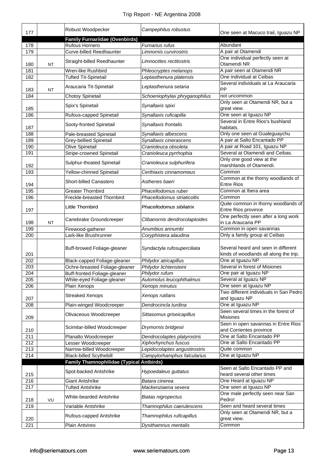| 177        |           | Robust Woodpecker                                              | Campephilus robustus                           | One seen at Macuco trail, Iguazu NP                                           |
|------------|-----------|----------------------------------------------------------------|------------------------------------------------|-------------------------------------------------------------------------------|
|            |           | <b>Family Furnariidae (Ovenbirds)</b>                          |                                                |                                                                               |
| 178        |           | Rufous Hornero                                                 | Furnarius rufus                                | Abundant<br>A pair at Otamendi                                                |
| 179        |           | Curve-billed Reedhaunter                                       | Limnornis curvirostris                         | One individual perfectly seen at                                              |
| 180        | <b>NT</b> | Straight-billed Reedhaunter                                    | Limnoctites rectitostris                       | Otamendi NR                                                                   |
| 181        |           | Wren-like Rushbird                                             | Phleocryptes melanops                          | A pair seen at Otamendi NR                                                    |
| 182        |           | <b>Tufted Tit-Spinetail</b>                                    | Leptasthenura platensis                        | One individual at Ceibas                                                      |
|            |           |                                                                |                                                | Several individuals at La Araucaria                                           |
| 183        | <b>NT</b> | Araucaria Tit-Spinetail                                        | Leptasthenura setaria                          | <b>PP</b>                                                                     |
| 184        |           | <b>Chotoy Spinetail</b>                                        | Schoeniophylax phryganophilus                  | not uncommon                                                                  |
|            |           | Spix's Spinetail                                               | Synallaxis spixi                               | Only seen at Otamendi NR, but a                                               |
| 185        |           |                                                                |                                                | great view.                                                                   |
| 186        |           | Rufous-capped Spinetail                                        | Synallaxis ruficapilla                         | One seen at Iguazu NP                                                         |
|            |           | Sooty-fronted Spinetail                                        | Synallaxis frontalis                           | Several in Entre Rios's bushland                                              |
| 187        |           |                                                                |                                                | habitats.                                                                     |
| 188<br>189 |           | Pale-breasted Spinetail<br><b>Grey-bellied Spinetail</b>       | Synallaxis albescens                           | Only one seen at Gualeguaychu<br>A pair at Salto Encantado PP                 |
| 190        |           |                                                                | Synallaxis cinerascens<br>Cranioleuca obsoleta | A pair at Road 101, Iguazu NP                                                 |
|            |           | Olive Spinetail                                                |                                                | Several at Otamendi and Ceibas.                                               |
| 191        |           | <b>Stripe-crowned Spinetail</b>                                | Cranioleuca pyrrhophia                         |                                                                               |
| 192        |           | Sulphur-thoated Spinetail                                      | Cranioleuca sulphurifera                       | Only one good view at the<br>marshlands of Otamendi.                          |
| 193        |           | Yellow-chinned Spinetail                                       | Certhiaxis cinnamomeus                         | Common                                                                        |
|            |           |                                                                |                                                | Common at the thorny woodlands of                                             |
| 194        |           | Short-billed Canastero                                         | Asthenes baeri                                 | <b>Entre Rios</b>                                                             |
| 195        |           | <b>Greater Thornbird</b>                                       | Phacellodomus ruber                            | Common at Ibera area                                                          |
| 196        |           | Freckle-breasted Thornbird                                     | Phacellodomus striaticollis                    | Common                                                                        |
|            |           | Little Thornbird                                               | Phacellodomus sibilatrix                       | Quite common in thorny woodlands of                                           |
| 197        |           |                                                                |                                                | Entre Rios province                                                           |
|            |           | Canebrake Groundcreeper                                        | Clibanornis dendrocolaptoides                  | One perfectly seen after a long work                                          |
| 198        | <b>NT</b> |                                                                |                                                | in La Araucaria PP                                                            |
| 199        |           | Firewood-gatherer                                              | Anumbius annumbi                               | Common in open savannas                                                       |
| 200        |           | Lark-like Brushrunner                                          | Coryphistera alaudina                          | Only a family group at Ceibas                                                 |
|            |           |                                                                |                                                |                                                                               |
| 201        |           | Buff-browed Foliage-gleaner                                    | Syndactyla rufosuperciliata                    | Several heard and seen in different<br>kinds of woodlands all along the trip. |
| 202        |           |                                                                | Philydor atricapillus                          | One at Iguazu NP                                                              |
| 203        |           | Black-capped Foliage-gleaner<br>Ochre-breasted Foliage-gleaner | Philydor lichtensteini                         | Several in forest of Misiones                                                 |
| 204        |           | Buff-fronted Foliage-gleaner                                   | Philydor rufum                                 | One pair at Iguazu NP                                                         |
| 205        |           | White-eyed Foliage-gleaner                                     | Automolus leucophthalmus                       | Several at Iguazu NP                                                          |
| 206        |           | Plain Xenops                                                   | Xenops minutus                                 | One seen at Iguazu NP                                                         |
|            |           |                                                                |                                                | Two different individuals in San Pedro                                        |
| 207        |           | <b>Streaked Xenops</b>                                         | Xenops rutilans                                | and Iguazu NP                                                                 |
| 208        |           | Plain-winged Woodcreeper                                       | Dendrocincla turdina                           | One at Iguazu NP                                                              |
|            |           |                                                                |                                                | Seen several times in the forest of                                           |
| 209        |           | Olivaceous Woodcreeper                                         | Sittasomus griseicapillus                      | <b>Misiones</b>                                                               |
|            |           | Scimitar-billed Woodcreeper                                    | Drymornis bridgesii                            | Seen in open savannas in Entre Rios                                           |
| 210        |           |                                                                |                                                | and Corrientes province                                                       |
| 211        |           | Planalto Woodcreeper                                           | Dendrocolaptes platyrostris                    | One at Salto Encantado PP                                                     |
| 212        |           | Lesser Woodcreeper                                             | Xiphorhynchus fuscus                           | One at Salto Encantado PP                                                     |
| 213        |           | Narrow-billed Woodcreeper                                      | Lepidocolaptes angustirostris                  | Quite common                                                                  |
| 214        |           | <b>Black-billed Scythebill</b>                                 | Campylorhamphus falcularius                    | One at Iguazu NP                                                              |
|            |           | Family Thamnophilidae (Typical Antbirds)                       |                                                | Seen at Salto Encantado PP and                                                |
| 215        |           | Spot-backed Antshrike                                          | Hypoedaleus guttatus                           | heard several other times                                                     |
| 216        |           | Giant Antshrike                                                | Batara cinerea                                 | One Heard at Iguazu NP                                                        |
| 217        |           | <b>Tufted Antshrike</b>                                        | Mackenziaena severa                            | One seen at Iguazu NP                                                         |
|            |           |                                                                |                                                | One male perfectly seen near San                                              |
| 218        | VU        | White-bearded Antshrike                                        | <b>Biatas nigropectus</b>                      | Pedro!                                                                        |
| 219        |           | Variable Antshrike                                             | Thamnophilus caerulescens                      | Seen and heard several times                                                  |
|            |           |                                                                |                                                | Only seen at Otamendi NR, but a                                               |
| 220        |           | Rufous-capped Antshrike                                        | Thamnophilus ruficapillus                      | great view.                                                                   |
| 221        |           | Plain Antvireo                                                 | Dysithamnus mentalis                           | Common                                                                        |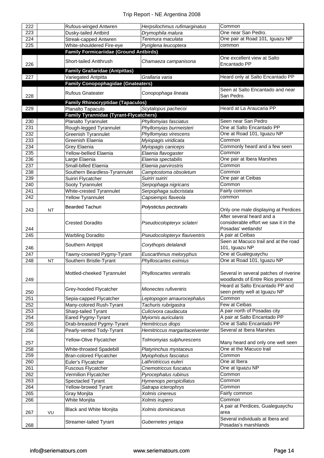| 222 |           | Rufous-winged Antwren                         | Herpsilochmus rufimarginatus   | Common                                                       |
|-----|-----------|-----------------------------------------------|--------------------------------|--------------------------------------------------------------|
| 223 |           | Dusky-tailed Antbird                          | Drymophila malura              | One near San Pedro.                                          |
| 224 |           | Streak-capped Antwren                         | Terenura maculata              | One pair at Road 101, Iguazu NP                              |
| 225 |           | White-shouldered Fire-eye                     | Pyriglena leucoptera           | common                                                       |
|     |           | <b>Family Formicariidae (Ground Antbirds)</b> |                                |                                                              |
|     |           |                                               |                                | One excellent view at Salto                                  |
| 226 |           | Short-tailed Antthrush                        | Chamaeza campanisona           | Encantado PP                                                 |
|     |           | <b>Family Grallaridae (Antpittas)</b>         |                                |                                                              |
| 227 |           | Variegated Antpitta                           | Grallaria varia                | Heard only at Salto Encantado PP                             |
|     |           | <b>Family Conopophagidae (Gnateaters)</b>     |                                |                                                              |
|     |           |                                               |                                | Seen at Salto Encantado and near                             |
| 228 |           | <b>Rufous Gnateater</b>                       | Conopophaga lineata            | San Pedro.                                                   |
|     |           | <b>Family Rhinocryptidae (Tapaculos)</b>      |                                |                                                              |
| 229 |           | Planalto Tapaculo                             | Scytalopus pachecoi            | Heard at La Araucaria PP                                     |
|     |           | <b>Family Tyrannidae (Tyrant-Flycatchers)</b> |                                |                                                              |
| 230 |           | Planalto Tyrannulet                           | Phyllomyias fasciatus          | Seen near San Pedro                                          |
| 231 |           | Rough-legged Tyrannulet                       | Phyllomyias burmeisteri        | One at Salto Encantado PP                                    |
| 232 |           | <b>Greenish Tyrannulet</b>                    | Phyllomyias virescens          | One at Road 101, Iguazu NP                                   |
|     |           | Greenish Elaenia                              |                                | Common                                                       |
| 233 |           |                                               | Myiopagis viridicata           | Commonly heard and a few seen                                |
| 234 |           | Grey Elaenia                                  | Myiopagis caniceps             |                                                              |
| 235 |           | Yellow-bellied Elaenia                        | Elaenia flavogaster            | Common                                                       |
| 236 |           | Large Elaenia                                 | Elaenia spectabilis            | One pair at Ibera Marshes                                    |
| 237 |           | Small-billed Elaenia                          | Elaenia parvirostris           | Common                                                       |
| 238 |           | Southern Beardless-Tyrannulet                 | Camptostoma obsoletum          | Common                                                       |
| 239 |           | Suiriri Flycatcher                            | Suiriri suiriri                | One pair at Ceibas                                           |
| 240 |           | Sooty Tyrannulet                              | Serpophaga nigricans           | Common                                                       |
| 241 |           | White-crested Tyrannulet                      | Serpophaga subcristata         | Fairly common                                                |
| 242 |           | <b>Yellow Tyrannulet</b>                      | Capsiempis flaveola            | common                                                       |
|     |           | <b>Bearded Tachuri</b>                        | Polystictus pectoralis         |                                                              |
| 243 | <b>NT</b> |                                               |                                | Only one male displaying at Perdices                         |
|     |           |                                               |                                | After several heard and a                                    |
|     |           | <b>Crested Doradito</b>                       | Pseudocolopteryx sclateri      | considerable effort we saw it in the                         |
| 244 |           |                                               |                                | Posadas' wetlands!                                           |
| 245 |           | <b>Warbling Doradito</b>                      | Pseudocolopteryx flaviventris  | A pair at Ceibas                                             |
|     |           |                                               |                                | Seen at Macuco trail and at the road                         |
| 246 |           | Southern Antpipit                             | Corythopis delalandi           | 101, Iguazu NP                                               |
| 247 |           | Tawny-crowned Pygmy-Tyrant                    | Euscarthmus meloryphus         | One at Gualeguaychu                                          |
| 248 | <b>NT</b> | Southern Bristle-Tyrant                       | Phylloscartes eximius          | One at Road 101, Iguazu NP                                   |
|     |           |                                               |                                |                                                              |
|     |           | Mottled-cheeked Tyrannulet                    | Phylloscartes ventralis        | Several in several patches of riverine                       |
| 249 |           |                                               |                                | woodlands of Entre Rios province                             |
|     |           |                                               |                                | Heard at Salto Encantado PP and                              |
| 250 |           | Grey-hooded Flycatcher                        | Mionectes rufiventris          | seen pretty well at Iguazu NP                                |
| 251 |           | Sepia-capped Flycatcher                       | Leptopogon amaurocephalus      | Common                                                       |
| 252 |           | Many-colored Rush-Tyrant                      | Tachuris rubrigastra           | Few at Ceibas                                                |
| 253 |           | Sharp-tailed Tyrant                           | Culicivora caudacuta           | A pair north of Posadas city                                 |
| 254 |           | Eared Pygmy-Tyrant                            | Myiornis auricularis           | A pair at Salto Encantado PP                                 |
| 255 |           | Drab-breasted Pygmy-Tyrant                    | Hemitriccus diops              | One at Salto Encantado PP                                    |
|     |           |                                               | Hemitriccus margaritaceiventer | Several at Ibera Marshes                                     |
| 256 |           | Pearly-vented Tody-Tyrant                     |                                |                                                              |
|     |           | Yellow-Olive Flycatcher                       | Tolmomyias sulphurescens       |                                                              |
| 257 |           |                                               |                                | Many heard and only one well seen<br>One at the Macuco trail |
| 258 |           | White-throated Spadebill                      | Platyrinchus mystaceus         |                                                              |
| 259 |           | <b>Bran-colored Flycatcher</b>                | Myiophobus fasciatus           | Common                                                       |
| 260 |           | Euler's Flycatcher                            | Lathrotriccus euleri           | One at Ibera                                                 |
| 261 |           | <b>Fuscous Flycatcher</b>                     | Cnemotriccus fuscatus          | One at Iguazu NP                                             |
| 262 |           | Vermilion Flycatcher                          | Pyrocephalus rubinus           | Common                                                       |
| 263 |           | Spectacled Tyrant                             | Hymenops perspicillatus        | Common                                                       |
| 264 |           | Yellow-browed Tyrant                          | Satrapa icterophrys            | Common                                                       |
| 265 |           | Gray Monjita                                  | Xolmis cinereus                | Fairly common                                                |
| 266 |           | White Monjita                                 | Xolmis irupero                 | Common                                                       |
|     |           |                                               |                                | A pair at Perdices, Gualeguaychu                             |
| 267 | VU        | <b>Black and White Monjita</b>                | Xolmis dominicanus             | area                                                         |
|     |           |                                               |                                | Several individuals at Ibera and                             |
| 268 |           | Streamer-tailed Tyrant                        | Gubernetes yetapa              | Posadas's marshlands                                         |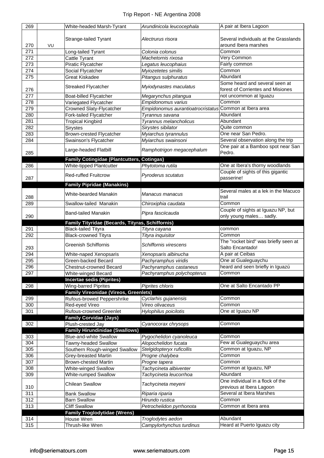| 269 |    | White-headed Marsh-Tyrant                         | Arundinicola leucocephala         | A pair at Ibera Lagoon                |
|-----|----|---------------------------------------------------|-----------------------------------|---------------------------------------|
|     |    |                                                   |                                   |                                       |
|     |    | Strange-tailed Tyrant                             | Alectrurus risora                 | Several individuals at the Grasslands |
| 270 | VU |                                                   |                                   | around Ibera marshes                  |
| 271 |    | Long-tailed Tyrant                                | Colonia colonus                   | Common                                |
| 272 |    | <b>Cattle Tyrant</b>                              | Machetornis rixosa                | Very Common                           |
| 273 |    | Piratic Flycatcher                                | Legatus leucophaius               | Fairly common                         |
| 274 |    | Social Flycatcher                                 | Myiozetetes similis               | Common                                |
| 275 |    | <b>Great Kiskadee</b>                             | Pitangus sulphuratus              | Abundant                              |
|     |    | <b>Streaked Flycatcher</b>                        | Myiodynastes maculatus            | Some heard and several seen at        |
| 276 |    |                                                   |                                   | forest of Corrientes and Misiones     |
| 277 |    | Boat-billed Flycatcher                            | Megarynchus pitangua              | not uncommon at Iguazu                |
| 278 |    | Variegated Flycatcher                             | Empidonomus varius                | Common                                |
| 279 |    | Crowned Slaty-Flycatcher                          | Empidonomus aurantioatrocristatus | Common at Ibera area                  |
| 280 |    | Fork-tailed Flycatcher                            | Tyrannus savana                   | Abundant                              |
| 281 |    | <b>Tropical Kingbird</b>                          | Tyrannus melancholicus            | Abundant                              |
| 282 |    | <b>Sirystes</b>                                   | Sirystes sibilator                | Quite common                          |
| 283 |    | Brown-crested Flycatcher                          | Myiarchus tyrannulus              | One near San Pedro.                   |
| 284 |    | Swainson's Flycatcher                             | Myiarchus swainsoni               | Several observation along the trip    |
|     |    |                                                   |                                   | One pair at a Bamboo spot near San    |
| 285 |    | Large-headed Flatbill                             | Ramphotrigon megacephalum         | Pedro.                                |
|     |    | <b>Family Cotingidae (Plantcutters, Cotingas)</b> |                                   |                                       |
| 286 |    | White-tipped Plantcutter                          | Phytotoma rutila                  | One at Ibera's thorny woodlands       |
|     |    | <b>Red-ruffed Fruitcrow</b>                       |                                   | Couple of sights of this gigantic     |
| 287 |    |                                                   | Pyroderus scutatus                | passerine!                            |
|     |    | <b>Family Pipridae (Manakins)</b>                 |                                   |                                       |
|     |    |                                                   |                                   | Several males at a lek in the Macuco  |
| 288 |    | White-bearded Manakin                             | Manacus manacus                   | trail                                 |
| 289 |    | Swallow-tailed Manakin                            | Chiroxiphia caudata               | Common                                |
|     |    |                                                   |                                   | Couple of sights at Iguazu NP, but    |
| 290 |    | <b>Band-tailed Manakin</b>                        | Pipra fasciicauda                 | only young males sadly.               |
|     |    | Family Tityridae (Becards, Tityras, Schiffornis)  |                                   |                                       |
| 291 |    | <b>Black-tailed Tityra</b>                        | Tityra cayana                     | common                                |
| 292 |    | <b>Black-crowned Tityra</b>                       | Tityra inquisitor                 | Common                                |
|     |    | <b>Greenish Schiffornis</b>                       | Schiffornis virescens             | The "rocket bird" was briefly seen at |
| 293 |    |                                                   |                                   | Salto Encantado!                      |
| 294 |    | White-naped Xenopsaris                            | Xenopsaris albinucha              | A pair at Ceibas                      |
| 295 |    | Green-backed Becard                               | Pachyramphus viridis              | One at Gualeguaychu                   |
| 296 |    | Chestnut-crowned Becard                           | Pachyramphus castaneus            | heard and seen briefly in Iguazú      |
| 297 |    | White-winged Becard                               | Pachyramphus polychopterus        | Common                                |
|     |    | <b>Incertae sedis (Piprites)</b>                  |                                   |                                       |
| 298 |    | Wing-barred Piprites                              | Piprites chloris                  | One at Salto Encantado PP             |
|     |    | <b>Family Vireonidae (Vireos, Greenlets)</b>      |                                   |                                       |
| 299 |    | Rufous-browed Peppershrike                        | Cyclarhis gujanensis              | Common                                |
| 300 |    | Red-eyed Vireo                                    | Vireo olivaceus                   | Common                                |
| 301 |    | <b>Rufous-crowned Greenlet</b>                    | Hylophilus poicilotis             | One at Iguazu NP                      |
|     |    | <b>Family Corvidae (Jays)</b>                     |                                   |                                       |
| 302 |    | Plush-crested Jay                                 | Cyanocorax chrysops               | Common                                |
|     |    | <b>Family Hirundinidae (Swallows)</b>             |                                   |                                       |
| 303 |    | <b>Blue-and-white Swallow</b>                     | Pygochelidon cyanoleuca           | Common                                |
| 304 |    | Tawny-headed Swallow                              | Alopochelidon fucata              | Few at Gualeguaychu area              |
| 305 |    | Southern Rough-winged Swallow                     | Stelgidopteryx ruficollis         | Common at Iguazu, NP                  |
| 306 |    | <b>Grey-breasted Martin</b>                       | Progne chalybea                   | Common                                |
| 307 |    | <b>Brown-chested Martin</b>                       | Progne tapera                     | Common                                |
| 308 |    | White-winged Swallow                              | Tachycineta albiventer            | Common at Iguazu, NP                  |
| 309 |    | <b>White-rumped Swallow</b>                       | Tachycineta leucorrhoa            | Abundant                              |
|     |    |                                                   |                                   | One individual in a flock of the      |
| 310 |    | <b>Chilean Swallow</b>                            | Tachycineta meyeni                | previous at Ibera Lagoon              |
| 311 |    | <b>Bank Swallow</b>                               | Riparia riparia                   | Several at Ibera Marshes              |
| 312 |    | <b>Barn Swallow</b>                               | Hirundo rustica                   | Common                                |
| 313 |    | <b>Cliff Swallow</b>                              | Petrochelidon pyrrhonota          | Common at Ibera area                  |
|     |    | <b>Family Troglodytidae (Wrens)</b>               |                                   |                                       |
| 314 |    | House Wren                                        | Troglodytes aedon                 | Abundant                              |
| 315 |    | Thrush-like Wren                                  | Campylorhynchus turdinus          | Heard at Puerto Iguazu city           |
|     |    |                                                   |                                   |                                       |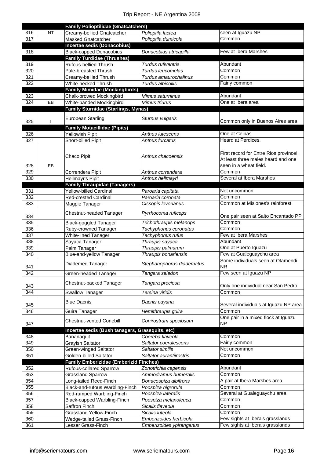|            |           | <b>Family Polioptilidae (Gnatcatchers)</b>      |                           |                                               |
|------------|-----------|-------------------------------------------------|---------------------------|-----------------------------------------------|
| 316        | <b>NT</b> | Creamy-bellied Gnatcatcher                      | Polioptila lactea         | seen at Iguazu NP                             |
| 317        |           | Masked Gnatcatcher                              | Polioptila dumicola       | Common                                        |
|            |           | <b>Incertae sedis (Donacobius)</b>              |                           |                                               |
| 318        |           | <b>Black-capped Donacobius</b>                  | Donacobius atricapilla    | Few at Ibera Marshes                          |
|            |           | <b>Family Turdidae (Thrushes)</b>               |                           |                                               |
| 319        |           | Rufous-bellied Thrush                           | <b>Turdus rufiventris</b> | Abundant                                      |
| 320        |           | Pale-breasted Thrush                            | Turdus leucomelas         | Common                                        |
| 321        |           | Creamy-bellied Thrush                           | Turdus amaurochalinus     | Common                                        |
| 322        |           | White-necked Thrush                             | Turdus albicollis         | Fairly common                                 |
|            |           | <b>Family Mimidae (Mockingbirds)</b>            |                           |                                               |
| 323        |           | <b>Chalk-browed Mockingbird</b>                 | Mimus saturninus          | Abundant                                      |
| 324        | EB        | White-banded Mockingbird                        | Mimus triurus             | One at Ibera area                             |
|            |           | <b>Family Sturnidae (Starlings, Mynas)</b>      |                           |                                               |
|            |           | <b>European Starling</b>                        | Sturnus vulgaris          |                                               |
| 325        |           |                                                 |                           | Common only in Buenos Aires area              |
|            |           | <b>Family Motacillidae (Pipits)</b>             |                           |                                               |
| 326        |           | <b>Yellowish Pipit</b>                          | Anthus lutescens          | One at Ceibas                                 |
| 327        |           | Short-billed Pipit                              | Anthus furcatus           | Heard at Perdices.                            |
|            |           |                                                 |                           |                                               |
|            |           | Chaco Pipit                                     | Anthus chacoensis         | First record for Entre Rios province!!        |
|            |           |                                                 |                           | At least three males heard and one            |
| 328        | EB        |                                                 |                           | seen in a wheat field.                        |
| 329        |           | Correndera Pipit                                | Anthus correndera         | Common                                        |
| 330        |           | Hellmayr's Pipit                                | Anthus hellmayri          | Several at Ibera Marshes                      |
|            |           | <b>Family Thraupidae (Tanagers)</b>             |                           |                                               |
| 331        |           | <b>Yellow-billed Cardinal</b>                   | Paroaria capitata         | Not uncommon                                  |
| 332        |           | <b>Red-crested Cardinal</b>                     | Paroaria coronata         | Common                                        |
| 333        |           | Magpie Tanager                                  | Cissopis leverianus       | Common at Misiones's rainforest               |
|            |           | Chestnut-headed Tanager                         | Pyrrhocoma ruficeps       |                                               |
| 334<br>335 |           | Black-goggled Tanager                           | Trichothraupis melanops   | One pair seen at Salto Encantado PP<br>Common |
| 336        |           | Ruby-crowned Tanager                            | Tachyphonus coronatus     | Common                                        |
| 337        |           | White-lined Tanager                             | Tachyphonus rufus         | Few at Ibera Marshes                          |
| 338        |           | Sayaca Tanager                                  | Thraupis sayaca           | Abundant                                      |
| 339        |           | Palm Tanager                                    | Thraupis palmarum         | One at Puerto Iguazu                          |
| 340        |           | <b>Blue-and-yellow Tanager</b>                  | Thraupis bonariensis      | Few at Gualeguaychu area                      |
|            |           |                                                 |                           | Some individuals seen at Otamendi             |
| 341        |           | Diademed Tanager                                | Stephanophorus diadematus | <b>NR</b>                                     |
| 342        |           | Green-headed Tanager                            | Tangara seledon           | Few seen at Iguazu NP                         |
|            |           | Chestnut-backed Tanager                         | Tangara preciosa          |                                               |
| 343        |           |                                                 |                           | Only one individual near San Pedro.<br>Common |
| 344        |           | <b>Swallow Tanager</b>                          | Tersina viridis           |                                               |
| 345        |           | <b>Blue Dacnis</b>                              | Dacnis cayana             | Several individuals at Iguazu NP area         |
| 346        |           | Guira Tanager                                   | Hemithraupis guira        | Common                                        |
|            |           |                                                 |                           | One pair in a mixed flock at Iguazu           |
| 347        |           | <b>Chestnut-vented Conebill</b>                 | Conirostrum speciosum     | <b>NP</b>                                     |
|            |           | Incertae sedis (Bush tanagers, Grassquits, etc) |                           |                                               |
| 348        |           | Bananaquit                                      | Coereba flaveola          | Common                                        |
| 349        |           | <b>Grayish Saltator</b>                         | Saltator coerulescens     | Fairly common                                 |
| 350        |           | <b>Green-winged Saltator</b>                    | Saltator similis          | Not uncommon                                  |
| 351        |           | Golden-billed Saltator                          | Saltator aurantiirostris  | Common                                        |
|            |           | <b>Family Emberizidae (Emberizid Finches)</b>   |                           |                                               |
| 352        |           | <b>Rufous-collared Sparrow</b>                  | Zonotrichia capensis      | Abundant                                      |
| 353        |           | <b>Grassland Sparrow</b>                        | Ammodramus humeralis      | Common                                        |
| 354        |           | Long-tailed Reed-Finch                          | Donacospiza albifrons     | A pair at Ibera Marshes area                  |
| 355        |           | Black-and-rufous Warbling-Finch                 | Poospiza nigrorufa        | Common                                        |
| 356        |           | Red-rumped Warbling-Finch                       | Poospiza lateralis        | Several at Gualeguaychu area                  |
| 357        |           | Black-capped Warbling-Finch                     | Poospiza melanoleuca      | Common                                        |
| 358        |           | Saffron Finch                                   | Sicalis flaveola          | Common                                        |
| 359        |           | <b>Grassland Yellow-Finch</b>                   | Sicalis luteola           | Common                                        |
| 360        |           | Wedge-tailed Grass-Finch                        | Emberizoides herbicola    | Few sights at Ibera's grasslands              |
| 361        |           | Lesser Grass-Finch                              | Emberizoides ypiranganus  | Few sights at Ibera's grasslands              |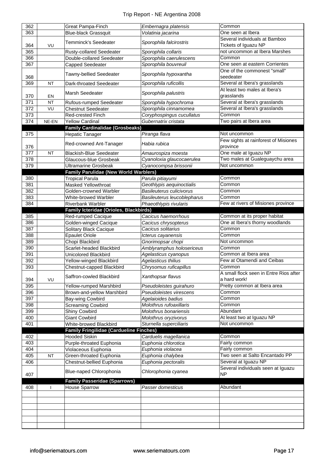| 362 |           | Great Pampa-Finch                              | Embernagra platensis        | Common                                      |
|-----|-----------|------------------------------------------------|-----------------------------|---------------------------------------------|
| 363 |           | <b>Blue-black Grassquit</b>                    | Volatinia jacarina          | One seen at Ibera                           |
|     |           | <b>Temminck's Seedeater</b>                    |                             | Several individuals at Bamboo               |
| 364 | VU        |                                                | Sporophila falcirostris     | Tickets of Iguazu NP                        |
| 365 |           | Rusty-collared Seedeater                       | Sporophila collaris         | not uncommon at Ibera Marshes               |
| 366 |           | Double-collared Seedeater                      | Sporophila caerulescens     | Common                                      |
| 367 |           | Capped Seedeater                               | Sporophila bouvreuil        | One seen at eastern Corrientes              |
|     |           |                                                |                             | One of the commonest "small"                |
| 368 |           | <b>Tawny-bellied Seedeater</b>                 | Sporophila hypoxantha       | seedeater                                   |
| 369 | <b>NT</b> | Dark-throated Seedeater                        | Sporophila ruficollis       | Several at Ibera's grasslands               |
|     |           | Marsh Seedeater                                | Sporophila palustris        | At least two males at Ibera's               |
| 370 | EN        |                                                |                             | grasslands                                  |
| 371 | <b>NT</b> | Rufous-rumped Seedeater                        | Sporophila hypochroma       | Several at Ibera's grasslands               |
| 372 | VU        | <b>Chestnut Seedeater</b>                      | Sporophila cinnamomea       | Several at Ibera's grasslands               |
| 373 |           | Red-crested Finch                              | Coryphospingus cucullatus   | Common                                      |
| 374 | NE-EN     | <b>Yellow Cardinal</b>                         | Gubernatrix cristata        | Two pairs at Ibera area                     |
|     |           | <b>Family Cardinalidae (Grosbeaks)</b>         |                             |                                             |
| 375 |           | <b>Hepatic Tanager</b>                         | Piranga flava               | Not uncommon                                |
|     |           | Red-crowned Ant-Tanager                        | Habia rubica                | Few sights at rainforest of Misiones        |
| 376 |           |                                                |                             | province                                    |
| 377 | <b>NT</b> | <b>Blackish-Blue Seedeater</b>                 | Amaurospiza moesta          | One male at Iguazu NP                       |
| 378 |           | Glaucous-blue Grosbeak                         | Cyanoloxia glaucocaerulea   | Two males at Gualeguaychu area              |
| 379 |           | <b>Ultramarine Grosbeak</b>                    | Cyanocompsa brissonii       | Not uncommon                                |
|     |           | <b>Family Parulidae (New World Warblers)</b>   |                             |                                             |
| 380 |           | <b>Tropical Parula</b>                         | Parula pitiayumi            | Common                                      |
| 381 |           | Masked Yellowthroat                            | Geothlypis aequinoctialis   | Common                                      |
| 382 |           | Golden-crowned Warbler                         | Basileuterus culicivorus    | Common                                      |
| 383 |           | White-browed Warbler                           | Basileuterus leucoblepharus | Common                                      |
| 384 |           | <b>Riverbank Warbler</b>                       | Phaeothlypis rivularis      | Few at rivers of Misiones province          |
|     |           | Family Icteridae (Orioles, Blackbirds)         |                             |                                             |
| 385 |           | Red-rumped Cacique                             | Cacicus haemorrhous         | Common at its proper habitat                |
| 386 |           | Golden-winged Cacique                          | Cacicus chrysopterus        | One at Ibera's thorny woodlands             |
| 387 |           | Solitary Black Cacique                         | Cacicus solitarius          | Common                                      |
| 388 |           | <b>Epaulet Oriole</b>                          | Icterus cayanensis          | Common                                      |
| 389 |           | Chopi Blackbird                                | Gnorimopsar chopi           | Not uncommon                                |
| 390 |           | Scarlet-headed Blackbird                       | Amblyramphus holosericeus   | Common                                      |
| 391 |           | <b>Unicolored Blackbird</b>                    | Agelasticus cyanopus        | Common at Ibera area                        |
| 392 |           | Yellow-winged Blackbird                        | Agelasticus thilius         | Few at Otamendi and Ceibas                  |
| 393 |           | Chestnut-capped Blackbird                      | Chrysomus ruficapillus      | Common                                      |
|     |           | Saffron-cowled Blackbird                       | Xanthopsar flavus           | A small flock seen in Entre Rios after      |
| 394 | VU        |                                                |                             | a hard work!<br>Pretty common at Ibera area |
| 395 |           | Yellow-rumped Marshbird                        | Pseudoleistes guirahuro     |                                             |
| 396 |           |                                                |                             |                                             |
| 397 |           | Brown-and-yellow Marshbird                     | Pseudoleistes virescens     | Common                                      |
| 398 |           | Bay-wing Cowbird                               | Agelaioides badius          | Common                                      |
|     |           | <b>Screaming Cowbird</b>                       | Molothrus rufoaxillaris     | Common                                      |
| 399 |           | Shiny Cowbird                                  | Molothrus bonariensis       | Abundant                                    |
| 400 |           | <b>Giant Cowbird</b>                           | Molothrus oryzivorus        | At least two at Iguazu NP                   |
| 401 |           | White-browed Blackbird                         | Sturnella superciliaris     | Not uncommon                                |
|     |           | <b>Family Fringilidae (Cardueline Finches)</b> |                             |                                             |
| 402 |           | <b>Hooded Siskin</b>                           | Carduelis magellanica       | Common                                      |
| 403 |           | Purple-throated Euphonia                       | Euphonia chlorotica         | Fairly common                               |
| 404 |           | Violaceous Euphonia                            | Euphonia violacea           | Fairly common                               |
| 405 | <b>NT</b> | Green-throated Euphonia                        | Euphonia chalybea           | Two seen at Salto Encantado PP              |
| 406 |           | Chestnut-bellied Euphonia                      | Euphonia pectoralis         | Several at Iguazu NP                        |
|     |           | Blue-naped Chlorophonia                        | Chlorophonia cyanea         | Several individuals seen at Iguazu          |
| 407 |           |                                                |                             | <b>NP</b>                                   |
|     |           | <b>Family Passeridae (Sparrows)</b>            |                             |                                             |
| 408 |           | <b>House Sparrow</b>                           | Passer domesticus           | Abundant                                    |
|     |           |                                                |                             |                                             |
|     |           |                                                |                             |                                             |
|     |           |                                                |                             |                                             |
|     |           |                                                |                             |                                             |
|     |           |                                                |                             |                                             |